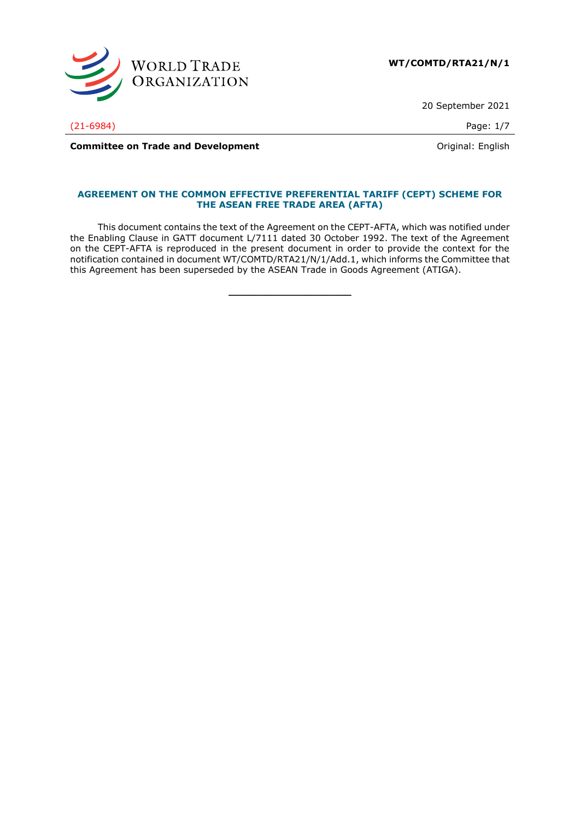

20 September 2021

(21-6984) Page: 1/7

**Committee on Trade and Development Committee on Trade and Development Committee on Trade and Development** 

## **AGREEMENT ON THE COMMON EFFECTIVE PREFERENTIAL TARIFF (CEPT) SCHEME FOR THE ASEAN FREE TRADE AREA (AFTA)**

This document contains the text of the Agreement on the CEPT-AFTA, which was notified under the Enabling Clause in GATT document L/7111 dated 30 October 1992. The text of the Agreement on the CEPT-AFTA is reproduced in the present document in order to provide the context for the notification contained in document WT/COMTD/RTA21/N/1/Add.1, which informs the Committee that this Agreement has been superseded by the ASEAN Trade in Goods Agreement (ATIGA).

 $\frac{1}{2}$  ,  $\frac{1}{2}$  ,  $\frac{1}{2}$  ,  $\frac{1}{2}$  ,  $\frac{1}{2}$  ,  $\frac{1}{2}$  ,  $\frac{1}{2}$  ,  $\frac{1}{2}$  ,  $\frac{1}{2}$  ,  $\frac{1}{2}$  ,  $\frac{1}{2}$  ,  $\frac{1}{2}$  ,  $\frac{1}{2}$  ,  $\frac{1}{2}$  ,  $\frac{1}{2}$  ,  $\frac{1}{2}$  ,  $\frac{1}{2}$  ,  $\frac{1}{2}$  ,  $\frac{1$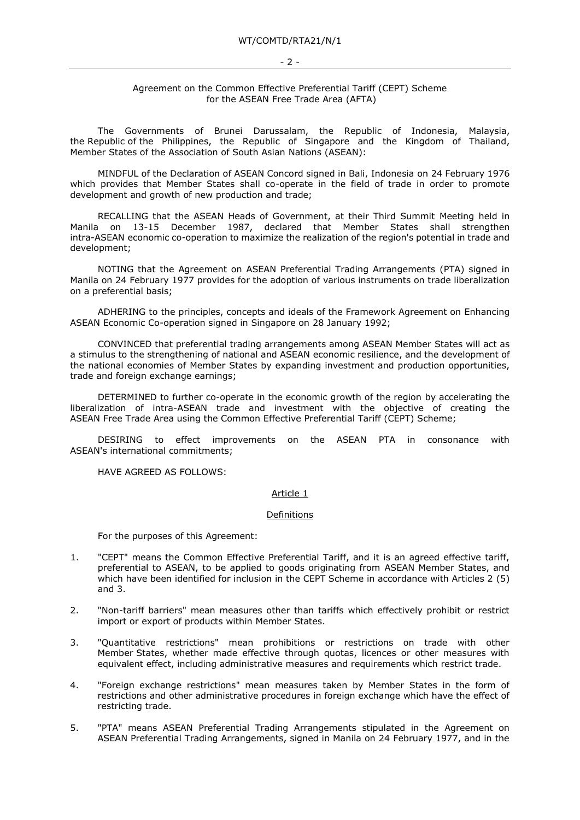## Agreement on the Common Effective Preferential Tariff (CEPT) Scheme for the ASEAN Free Trade Area (AFTA)

The Governments of Brunei Darussalam, the Republic of Indonesia, Malaysia, the Republic of the Philippines, the Republic of Singapore and the Kingdom of Thailand, Member States of the Association of South Asian Nations (ASEAN):

MINDFUL of the Declaration of ASEAN Concord signed in Bali, Indonesia on 24 February 1976 which provides that Member States shall co-operate in the field of trade in order to promote development and growth of new production and trade;

RECALLING that the ASEAN Heads of Government, at their Third Summit Meeting held in Manila on 13-15 December 1987, declared that Member States shall strengthen intra-ASEAN economic co-operation to maximize the realization of the region's potential in trade and development;

NOTING that the Agreement on ASEAN Preferential Trading Arrangements (PTA) signed in Manila on 24 February 1977 provides for the adoption of various instruments on trade liberalization on a preferential basis;

ADHERING to the principles, concepts and ideals of the Framework Agreement on Enhancing ASEAN Economic Co-operation signed in Singapore on 28 January 1992;

CONVINCED that preferential trading arrangements among ASEAN Member States will act as a stimulus to the strengthening of national and ASEAN economic resilience, and the development of the national economies of Member States by expanding investment and production opportunities, trade and foreign exchange earnings;

DETERMINED to further co-operate in the economic growth of the region by accelerating the liberalization of intra-ASEAN trade and investment with the objective of creating the ASEAN Free Trade Area using the Common Effective Preferential Tariff (CEPT) Scheme;

DESIRING to effect improvements on the ASEAN PTA in consonance with ASEAN's international commitments;

HAVE AGREED AS FOLLOWS:

### Article 1

### Definitions

For the purposes of this Agreement:

- 1. "CEPT" means the Common Effective Preferential Tariff, and it is an agreed effective tariff, preferential to ASEAN, to be applied to goods originating from ASEAN Member States, and which have been identified for inclusion in the CEPT Scheme in accordance with Articles 2 (5) and 3.
- 2. "Non-tariff barriers" mean measures other than tariffs which effectively prohibit or restrict import or export of products within Member States.
- 3. "Quantitative restrictions" mean prohibitions or restrictions on trade with other Member States, whether made effective through quotas, licences or other measures with equivalent effect, including administrative measures and requirements which restrict trade.
- 4. "Foreign exchange restrictions" mean measures taken by Member States in the form of restrictions and other administrative procedures in foreign exchange which have the effect of restricting trade.
- 5. "PTA" means ASEAN Preferential Trading Arrangements stipulated in the Agreement on ASEAN Preferential Trading Arrangements, signed in Manila on 24 February 1977, and in the

#### - 2 -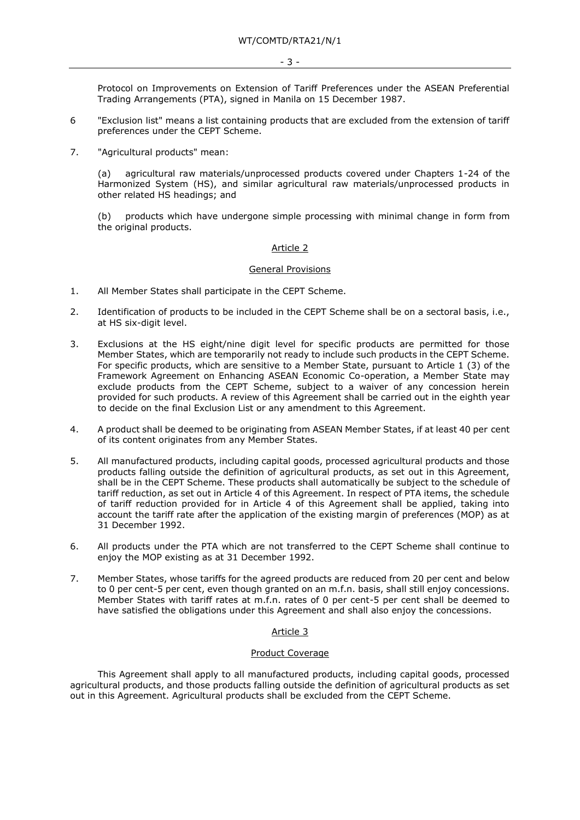Protocol on Improvements on Extension of Tariff Preferences under the ASEAN Preferential Trading Arrangements (PTA), signed in Manila on 15 December 1987.

- 6 "Exclusion list" means a list containing products that are excluded from the extension of tariff preferences under the CEPT Scheme.
- 7. "Agricultural products" mean:

(a) agricultural raw materials/unprocessed products covered under Chapters 1-24 of the Harmonized System (HS), and similar agricultural raw materials/unprocessed products in other related HS headings; and

(b) products which have undergone simple processing with minimal change in form from the original products.

## Article 2

### General Provisions

- 1. All Member States shall participate in the CEPT Scheme.
- 2. Identification of products to be included in the CEPT Scheme shall be on a sectoral basis, i.e., at HS six-digit level.
- 3. Exclusions at the HS eight/nine digit level for specific products are permitted for those Member States, which are temporarily not ready to include such products in the CEPT Scheme. For specific products, which are sensitive to a Member State, pursuant to Article 1 (3) of the Framework Agreement on Enhancing ASEAN Economic Co-operation, a Member State may exclude products from the CEPT Scheme, subject to a waiver of any concession herein provided for such products. A review of this Agreement shall be carried out in the eighth year to decide on the final Exclusion List or any amendment to this Agreement.
- 4. A product shall be deemed to be originating from ASEAN Member States, if at least 40 per cent of its content originates from any Member States.
- 5. All manufactured products, including capital goods, processed agricultural products and those products falling outside the definition of agricultural products, as set out in this Agreement, shall be in the CEPT Scheme. These products shall automatically be subject to the schedule of tariff reduction, as set out in Article 4 of this Agreement. In respect of PTA items, the schedule of tariff reduction provided for in Article 4 of this Agreement shall be applied, taking into account the tariff rate after the application of the existing margin of preferences (MOP) as at 31 December 1992.
- 6. All products under the PTA which are not transferred to the CEPT Scheme shall continue to enjoy the MOP existing as at 31 December 1992.
- 7. Member States, whose tariffs for the agreed products are reduced from 20 per cent and below to 0 per cent-5 per cent, even though granted on an m.f.n. basis, shall still enjoy concessions. Member States with tariff rates at m.f.n. rates of 0 per cent-5 per cent shall be deemed to have satisfied the obligations under this Agreement and shall also enjoy the concessions.

# Article 3

### Product Coverage

This Agreement shall apply to all manufactured products, including capital goods, processed agricultural products, and those products falling outside the definition of agricultural products as set out in this Agreement. Agricultural products shall be excluded from the CEPT Scheme.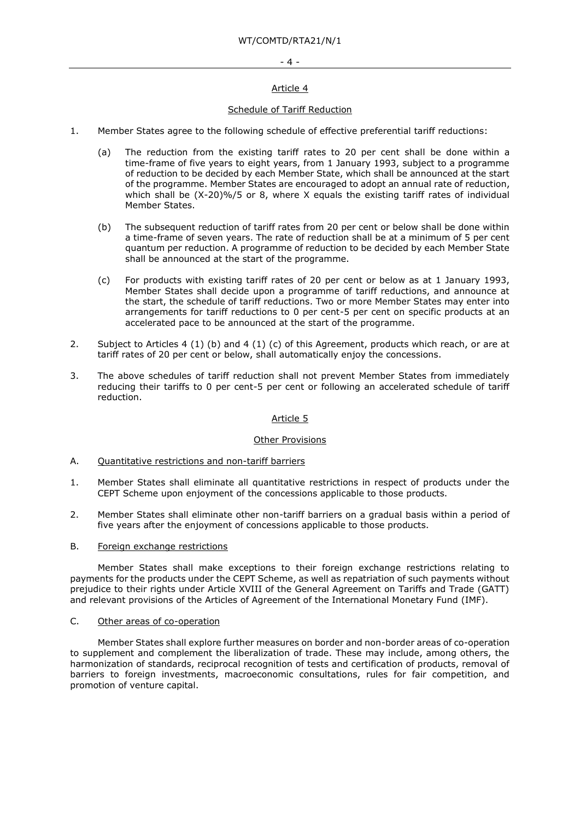### - 4 -

## Article 4

## Schedule of Tariff Reduction

- 1. Member States agree to the following schedule of effective preferential tariff reductions:
	- (a) The reduction from the existing tariff rates to 20 per cent shall be done within a time-frame of five years to eight years, from 1 January 1993, subject to a programme of reduction to be decided by each Member State, which shall be announced at the start of the programme. Member States are encouraged to adopt an annual rate of reduction, which shall be (X-20)%/5 or 8, where X equals the existing tariff rates of individual Member States.
	- (b) The subsequent reduction of tariff rates from 20 per cent or below shall be done within a time-frame of seven years. The rate of reduction shall be at a minimum of 5 per cent quantum per reduction. A programme of reduction to be decided by each Member State shall be announced at the start of the programme.
	- (c) For products with existing tariff rates of 20 per cent or below as at 1 January 1993, Member States shall decide upon a programme of tariff reductions, and announce at the start, the schedule of tariff reductions. Two or more Member States may enter into arrangements for tariff reductions to 0 per cent-5 per cent on specific products at an accelerated pace to be announced at the start of the programme.
- 2. Subject to Articles 4 (1) (b) and 4 (1) (c) of this Agreement, products which reach, or are at tariff rates of 20 per cent or below, shall automatically enjoy the concessions.
- 3. The above schedules of tariff reduction shall not prevent Member States from immediately reducing their tariffs to 0 per cent-5 per cent or following an accelerated schedule of tariff reduction.

# Article 5

### Other Provisions

- A. Quantitative restrictions and non-tariff barriers
- 1. Member States shall eliminate all quantitative restrictions in respect of products under the CEPT Scheme upon enjoyment of the concessions applicable to those products.
- 2. Member States shall eliminate other non-tariff barriers on a gradual basis within a period of five years after the enjoyment of concessions applicable to those products.

## B. Foreign exchange restrictions

Member States shall make exceptions to their foreign exchange restrictions relating to payments for the products under the CEPT Scheme, as well as repatriation of such payments without prejudice to their rights under Article XVIII of the General Agreement on Tariffs and Trade (GATT) and relevant provisions of the Articles of Agreement of the International Monetary Fund (IMF).

### C. Other areas of co-operation

Member States shall explore further measures on border and non-border areas of co-operation to supplement and complement the liberalization of trade. These may include, among others, the harmonization of standards, reciprocal recognition of tests and certification of products, removal of barriers to foreign investments, macroeconomic consultations, rules for fair competition, and promotion of venture capital.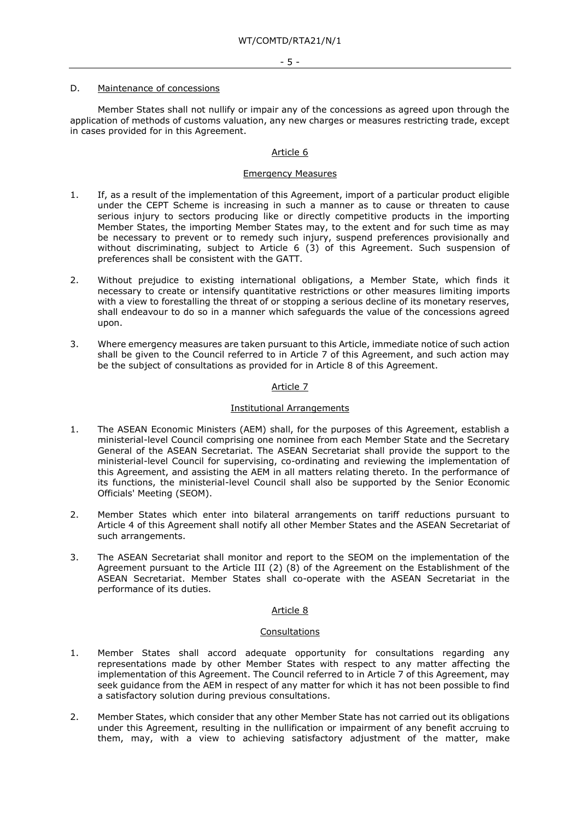#### D. Maintenance of concessions

Member States shall not nullify or impair any of the concessions as agreed upon through the application of methods of customs valuation, any new charges or measures restricting trade, except in cases provided for in this Agreement.

## Article 6

## Emergency Measures

- 1. If, as a result of the implementation of this Agreement, import of a particular product eligible under the CEPT Scheme is increasing in such a manner as to cause or threaten to cause serious injury to sectors producing like or directly competitive products in the importing Member States, the importing Member States may, to the extent and for such time as may be necessary to prevent or to remedy such injury, suspend preferences provisionally and without discriminating, subject to Article 6 (3) of this Agreement. Such suspension of preferences shall be consistent with the GATT.
- 2. Without prejudice to existing international obligations, a Member State, which finds it necessary to create or intensify quantitative restrictions or other measures limiting imports with a view to forestalling the threat of or stopping a serious decline of its monetary reserves, shall endeavour to do so in a manner which safeguards the value of the concessions agreed upon.
- 3. Where emergency measures are taken pursuant to this Article, immediate notice of such action shall be given to the Council referred to in Article 7 of this Agreement, and such action may be the subject of consultations as provided for in Article 8 of this Agreement.

## Article 7

### Institutional Arrangements

- 1. The ASEAN Economic Ministers (AEM) shall, for the purposes of this Agreement, establish a ministerial-level Council comprising one nominee from each Member State and the Secretary General of the ASEAN Secretariat. The ASEAN Secretariat shall provide the support to the ministerial-level Council for supervising, co-ordinating and reviewing the implementation of this Agreement, and assisting the AEM in all matters relating thereto. In the performance of its functions, the ministerial-level Council shall also be supported by the Senior Economic Officials' Meeting (SEOM).
- 2. Member States which enter into bilateral arrangements on tariff reductions pursuant to Article 4 of this Agreement shall notify all other Member States and the ASEAN Secretariat of such arrangements.
- 3. The ASEAN Secretariat shall monitor and report to the SEOM on the implementation of the Agreement pursuant to the Article III (2) (8) of the Agreement on the Establishment of the ASEAN Secretariat. Member States shall co-operate with the ASEAN Secretariat in the performance of its duties.

### Article 8

### Consultations

- 1. Member States shall accord adequate opportunity for consultations regarding any representations made by other Member States with respect to any matter affecting the implementation of this Agreement. The Council referred to in Article 7 of this Agreement, may seek guidance from the AEM in respect of any matter for which it has not been possible to find a satisfactory solution during previous consultations.
- 2. Member States, which consider that any other Member State has not carried out its obligations under this Agreement, resulting in the nullification or impairment of any benefit accruing to them, may, with a view to achieving satisfactory adjustment of the matter, make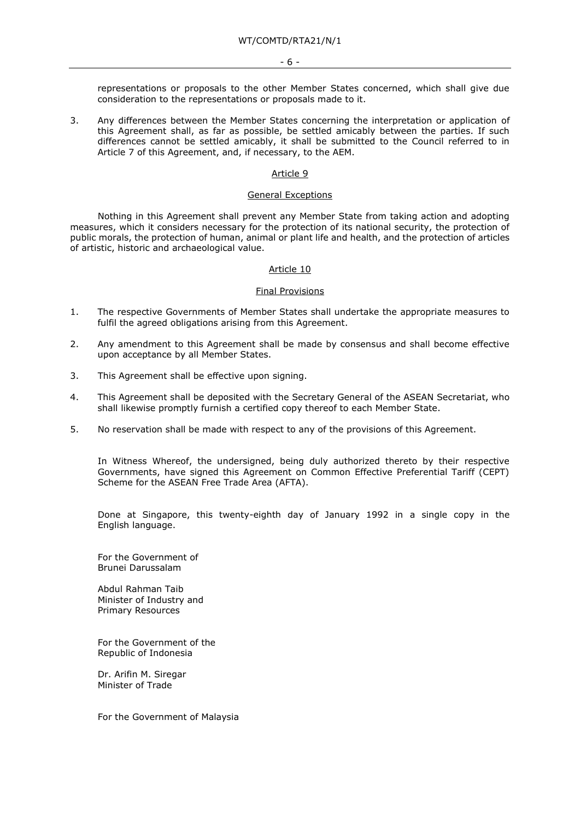representations or proposals to the other Member States concerned, which shall give due consideration to the representations or proposals made to it.

3. Any differences between the Member States concerning the interpretation or application of this Agreement shall, as far as possible, be settled amicably between the parties. If such differences cannot be settled amicably, it shall be submitted to the Council referred to in Article 7 of this Agreement, and, if necessary, to the AEM.

### Article 9

### General Exceptions

Nothing in this Agreement shall prevent any Member State from taking action and adopting measures, which it considers necessary for the protection of its national security, the protection of public morals, the protection of human, animal or plant life and health, and the protection of articles of artistic, historic and archaeological value.

### Article 10

#### Final Provisions

- 1. The respective Governments of Member States shall undertake the appropriate measures to fulfil the agreed obligations arising from this Agreement.
- 2. Any amendment to this Agreement shall be made by consensus and shall become effective upon acceptance by all Member States.
- 3. This Agreement shall be effective upon signing.
- 4. This Agreement shall be deposited with the Secretary General of the ASEAN Secretariat, who shall likewise promptly furnish a certified copy thereof to each Member State.
- 5. No reservation shall be made with respect to any of the provisions of this Agreement.

In Witness Whereof, the undersigned, being duly authorized thereto by their respective Governments, have signed this Agreement on Common Effective Preferential Tariff (CEPT) Scheme for the ASEAN Free Trade Area (AFTA).

Done at Singapore, this twenty-eighth day of January 1992 in a single copy in the English language.

For the Government of Brunei Darussalam

Abdul Rahman Taib Minister of Industry and Primary Resources

For the Government of the Republic of Indonesia

Dr. Arifin M. Siregar Minister of Trade

For the Government of Malaysia